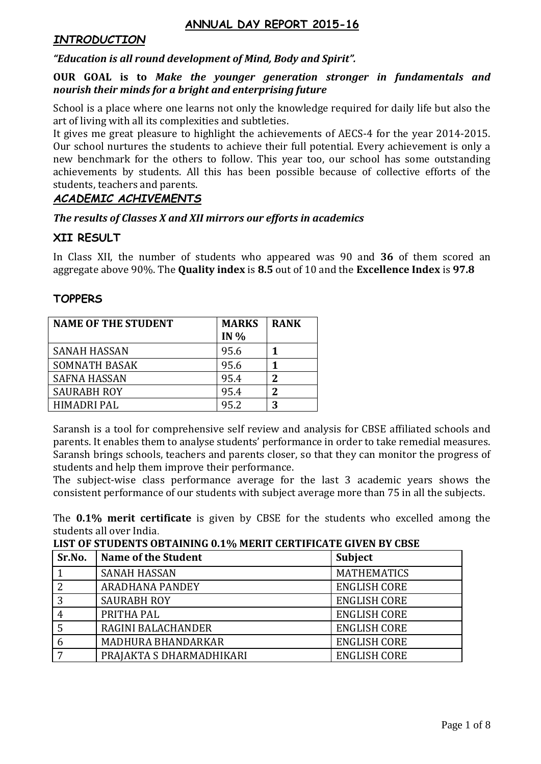## **ANNUAL DAY REPORT 2015-16**

## *INTRODUCTION*

### *"Education is all round development of Mind, Body and Spirit".*

### **OUR GOAL is to** *Make the younger generation stronger in fundamentals and nourish their minds for a bright and enterprising future*

School is a place where one learns not only the knowledge required for daily life but also the art of living with all its complexities and subtleties.

It gives me great pleasure to highlight the achievements of AECS-4 for the year 2014-2015. Our school nurtures the students to achieve their full potential. Every achievement is only a new benchmark for the others to follow. This year too, our school has some outstanding achievements by students. All this has been possible because of collective efforts of the students, teachers and parents.

## *ACADEMIC ACHIVEMENTS*

### *The results of Classes X and XII mirrors our efforts in academics*

## **XII RESULT**

In Class XII, the number of students who appeared was 90 and **36** of them scored an aggregate above 90%. The **Quality index** is **8.5** out of 10 and the **Excellence Index** is **97.8**

### **TOPPERS**

| <b>NAME OF THE STUDENT</b> | <b>MARKS</b><br>IN $%$ | <b>RANK</b> |
|----------------------------|------------------------|-------------|
| <b>SANAH HASSAN</b>        | 95.6                   |             |
| <b>SOMNATH BASAK</b>       | 95.6                   |             |
| <b>SAFNA HASSAN</b>        | 95.4                   | 2           |
| <b>SAURABH ROY</b>         | 95.4                   | 2           |
| HIMADRI PAL                | 95.2                   | 3           |

Saransh is a tool for comprehensive self review and analysis for CBSE affiliated schools and parents. It enables them to analyse students' performance in order to take remedial measures. Saransh brings schools, teachers and parents closer, so that they can monitor the progress of students and help them improve their performance.

The subject-wise class performance average for the last 3 academic years shows the consistent performance of our students with subject average more than 75 in all the subjects.

The **0.1% merit certificate** is given by CBSE for the students who excelled among the students all over India.

**LIST OF STUDENTS OBTAINING 0.1% MERIT CERTIFICATE GIVEN BY CBSE**

| Sr.No. | <b>Name of the Student</b> | <b>Subject</b>      |
|--------|----------------------------|---------------------|
|        | <b>SANAH HASSAN</b>        | <b>MATHEMATICS</b>  |
| ∍      | <b>ARADHANA PANDEY</b>     | <b>ENGLISH CORE</b> |
| 3      | <b>SAURABH ROY</b>         | <b>ENGLISH CORE</b> |
| 4      | PRITHA PAL                 | <b>ENGLISH CORE</b> |
|        | RAGINI BALACHANDER         | <b>ENGLISH CORE</b> |
|        | MADHURA BHANDARKAR         | <b>ENGLISH CORE</b> |
|        | PRAJAKTA S DHARMADHIKARI   | <b>ENGLISH CORE</b> |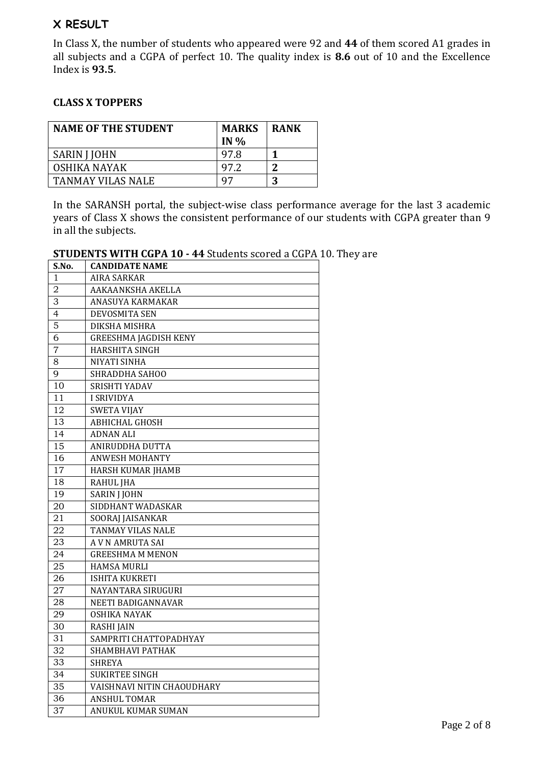# **X RESULT**

In Class X, the number of students who appeared were 92 and **44** of them scored A1 grades in all subjects and a CGPA of perfect 10. The quality index is **8.6** out of 10 and the Excellence Index is **93.5**.

## **CLASS X TOPPERS**

| <b>NAME OF THE STUDENT</b> | <b>MARKS</b><br>IN $%$ | <b>RANK</b> |
|----------------------------|------------------------|-------------|
| SARIN J JOHN               | 97.8                   |             |
| OSHIKA NAYAK               | 97.2                   | ി           |
| TANMAY VILAS NALE          | 97                     | 2           |

In the SARANSH portal, the subject-wise class performance average for the last 3 academic years of Class X shows the consistent performance of our students with CGPA greater than 9 in all the subjects.

| <b>STUDENTS WITH CGPA 10 - 44 Students scored a CGPA 10. They are</b> |  |  |
|-----------------------------------------------------------------------|--|--|
|-----------------------------------------------------------------------|--|--|

| S.No.          | <b>CANDIDATE NAME</b>        |
|----------------|------------------------------|
| $\mathbf{1}$   | AIRA SARKAR                  |
| $\overline{2}$ | AAKAANKSHA AKELLA            |
| 3              | ANASUYA KARMAKAR             |
| $\overline{4}$ | <b>DEVOSMITA SEN</b>         |
| $\overline{5}$ | DIKSHA MISHRA                |
| 6              | <b>GREESHMA JAGDISH KENY</b> |
| $\overline{7}$ | <b>HARSHITA SINGH</b>        |
| 8              | <b>NIYATI SINHA</b>          |
| 9              | SHRADDHA SAHOO               |
| 10             | SRISHTI YADAV                |
| 11             | <b>I SRIVIDYA</b>            |
| 12             | <b>SWETA VIJAY</b>           |
| 13             | <b>ABHICHAL GHOSH</b>        |
| 14             | <b>ADNAN ALI</b>             |
| 15             | ANIRUDDHA DUTTA              |
| 16             | <b>ANWESH MOHANTY</b>        |
| 17             | <b>HARSH KUMAR JHAMB</b>     |
| 18             | <b>RAHUL JHA</b>             |
| 19             | <b>SARIN J JOHN</b>          |
| 20             | SIDDHANT WADASKAR            |
| 21             | SOORAJ JAISANKAR             |
| 22             | TANMAY VILAS NALE            |
| 23             | A V N AMRUTA SAI             |
| 24             | <b>GREESHMA M MENON</b>      |
| 25             | HAMSA MURLI                  |
| 26             | ISHITA KUKRETI               |
| 27             | NAYANTARA SIRUGURI           |
| 28             | NEETI BADIGANNAVAR           |
| 29             | <b>OSHIKA NAYAK</b>          |
| 30             | <b>RASHI JAIN</b>            |
| 31             | SAMPRITI CHATTOPADHYAY       |
| 32             | SHAMBHAVI PATHAK             |
| 33             | <b>SHREYA</b>                |
| 34             | <b>SUKIRTEE SINGH</b>        |
| 35             | VAISHNAVI NITIN CHAOUDHARY   |
| 36             | <b>ANSHUL TOMAR</b>          |
| 37             | <b>ANUKUL KUMAR SUMAN</b>    |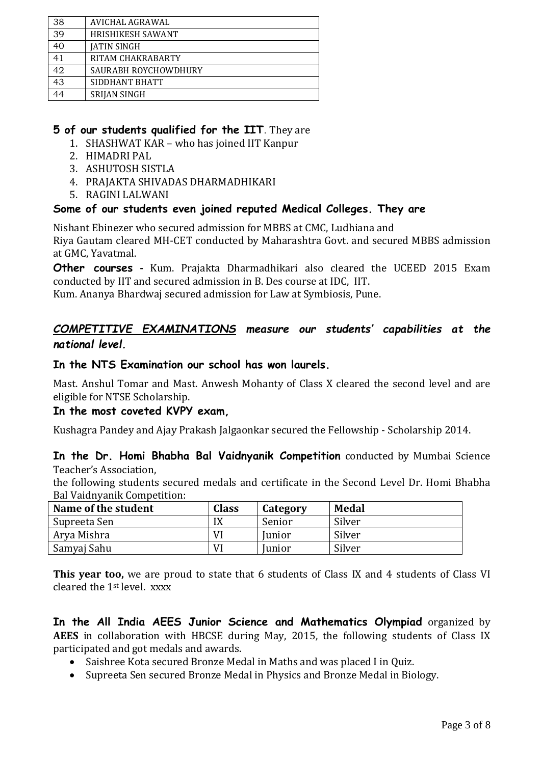| 38 | AVICHAL AGRAWAL      |
|----|----------------------|
| 39 | HRISHIKESH SAWANT    |
| 40 | <b>JATIN SINGH</b>   |
| 41 | RITAM CHAKRABARTY    |
| 42 | SAURABH ROYCHOWDHURY |
| 43 | SIDDHANT BHATT       |
|    | SRIJAN SINGH         |

# **5 of our students qualified for the IIT**. They are

- 1. SHASHWAT KAR who has joined IIT Kanpur
- 2. HIMADRI PAL
- 3. ASHUTOSH SISTLA
- 4. PRAJAKTA SHIVADAS DHARMADHIKARI
- 5. RAGINI LALWANI

## **Some of our students even joined reputed Medical Colleges. They are**

Nishant Ebinezer who secured admission for MBBS at CMC, Ludhiana and Riya Gautam cleared MH-CET conducted by Maharashtra Govt. and secured MBBS admission at GMC, Yavatmal.

**Other courses -** Kum. Prajakta Dharmadhikari also cleared the UCEED 2015 Exam conducted by IIT and secured admission in B. Des course at IDC, IIT.

Kum. Ananya Bhardwaj secured admission for Law at Symbiosis, Pune.

# *COMPETITIVE EXAMINATIONS measure our students' capabilities at the national level.*

## **In the NTS Examination our school has won laurels.**

Mast. Anshul Tomar and Mast. Anwesh Mohanty of Class X cleared the second level and are eligible for NTSE Scholarship.

### **In the most coveted KVPY exam,**

Kushagra Pandey and Ajay Prakash Jalgaonkar secured the Fellowship - Scholarship 2014.

**In the Dr. Homi Bhabha Bal Vaidnyanik Competition** conducted by Mumbai Science Teacher's Association,

the following students secured medals and certificate in the Second Level Dr. Homi Bhabha Bal Vaidnyanik Competition:

| Name of the student | <b>Class</b> | Category      | <b>Medal</b> |
|---------------------|--------------|---------------|--------------|
| Supreeta Sen        | IX           | Senior        | Silver       |
| Arya Mishra         | Vl           | <b>Junior</b> | Silver       |
| Samyaj Sahu         | VI           | <b>Junior</b> | Silver       |

**This year too,** we are proud to state that 6 students of Class IX and 4 students of Class VI cleared the 1st level. xxxx

**In the All India AEES Junior Science and Mathematics Olympiad** organized by **AEES** in collaboration with HBCSE during May, 2015, the following students of Class IX participated and got medals and awards.

- Saishree Kota secured Bronze Medal in Maths and was placed I in Quiz.
- Supreeta Sen secured Bronze Medal in Physics and Bronze Medal in Biology.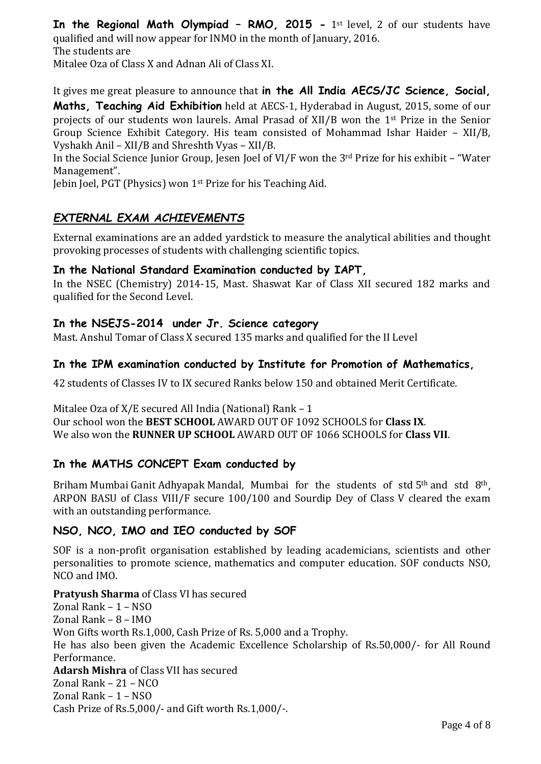**In the Regional Math Olympiad – RMO, 2015 -** 1st level, 2 of our students have qualified and will now appear for INMO in the month of January, 2016. The students are Mitalee Oza of Class X and Adnan Ali of Class XI.

It gives me great pleasure to announce that **in the All India AECS/JC Science, Social, Maths, Teaching Aid Exhibition** held at AECS-1, Hyderabad in August, 2015, some of our projects of our students won laurels. Amal Prasad of XII/B won the 1st Prize in the Senior Group Science Exhibit Category. His team consisted of Mohammad Ishar Haider – XII/B, Vyshakh Anil – XII/B and Shreshth Vyas – XII/B.

In the Social Science Junior Group, Jesen Joel of VI/F won the 3rd Prize for his exhibit – "Water Management".

Jebin Joel, PGT (Physics) won 1st Prize for his Teaching Aid.

# *EXTERNAL EXAM ACHIEVEMENTS*

External examinations are an added yardstick to measure the analytical abilities and thought provoking processes of students with challenging scientific topics.

## **In the National Standard Examination conducted by IAPT,**

In the NSEC (Chemistry) 2014-15, Mast. Shaswat Kar of Class XII secured 182 marks and qualified for the Second Level.

## **In the NSEJS-2014 under Jr. Science category**

Mast. Anshul Tomar of Class X secured 135 marks and qualified for the II Level

## **In the IPM examination conducted by Institute for Promotion of Mathematics,**

42 students of Classes IV to IX secured Ranks below 150 and obtained Merit Certificate.

Mitalee Oza of X/E secured All India (National) Rank – 1 Our school won the **BEST SCHOOL** AWARD OUT OF 1092 SCHOOLS for **Class IX**. We also won the **RUNNER UP SCHOOL** AWARD OUT OF 1066 SCHOOLS for **Class VII**.

## **In the MATHS CONCEPT Exam conducted by**

Briham Mumbai Ganit Adhyapak Mandal, Mumbai for the students of std 5th and std 8th, ARPON BASU of Class VIII/F secure 100/100 and Sourdip Dey of Class V cleared the exam with an outstanding performance.

## **NSO, NCO, IMO and IEO conducted by SOF**

SOF is a non-profit organisation established by leading academicians, scientists and other personalities to promote science, mathematics and computer education. SOF conducts NSO, NCO and IMO.

**Pratyush Sharma** of Class VI has secured

Zonal Rank – 1 – NSO Zonal Rank – 8 – IMO Won Gifts worth Rs.1,000, Cash Prize of Rs. 5,000 and a Trophy. He has also been given the Academic Excellence Scholarship of Rs.50,000/- for All Round Performance. **Adarsh Mishra** of Class VII has secured Zonal Rank – 21 – NCO Zonal Rank – 1 – NSO Cash Prize of Rs.5,000/- and Gift worth Rs.1,000/-.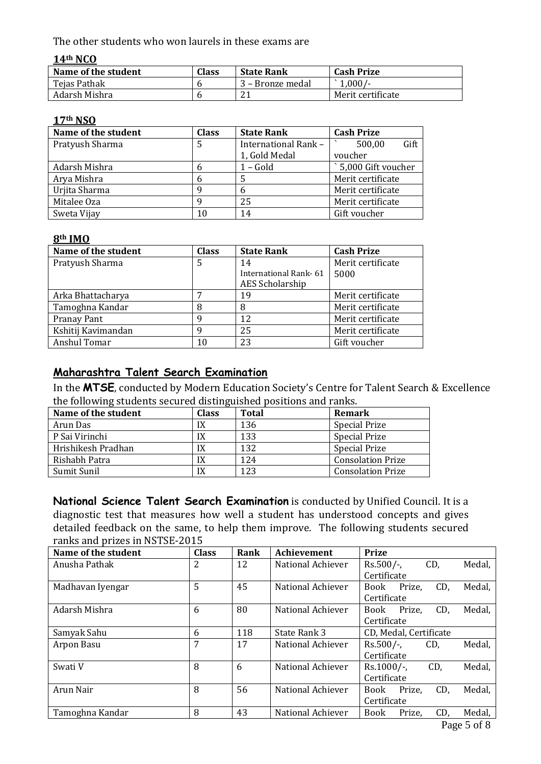The other students who won laurels in these exams are

### **14th NCO**

| Name of the student | Class | <b>State Rank</b> | <b>Cash Prize</b> |
|---------------------|-------|-------------------|-------------------|
| Tejas Pathak        |       | 3 – Bronze medal  | $1,000/-$         |
| Adarsh Mishra       |       | 21                | Merit certificate |

#### **17th NSO**

| Name of the student | <b>Class</b> | <b>State Rank</b>    | <b>Cash Prize</b>  |
|---------------------|--------------|----------------------|--------------------|
| Pratyush Sharma     | 5            | International Rank - | Gift<br>500,00     |
|                     |              | 1, Gold Medal        | voucher            |
| Adarsh Mishra       | 6            | $1 - Gold$           | 5,000 Gift voucher |
| Arya Mishra         | 6            |                      | Merit certificate  |
| Urjita Sharma       | q            | b                    | Merit certificate  |
| Mitalee Oza         | q            | 25                   | Merit certificate  |
| Sweta Vijay         | 10           | 14                   | Gift voucher       |

#### **8th IMO**

| Name of the student | <b>Class</b> | <b>State Rank</b>     | <b>Cash Prize</b> |
|---------------------|--------------|-----------------------|-------------------|
| Pratyush Sharma     | 5            | 14                    | Merit certificate |
|                     |              | International Rank-61 | 5000              |
|                     |              | AES Scholarship       |                   |
| Arka Bhattacharya   |              | 19                    | Merit certificate |
| Tamoghna Kandar     | 8            | 8                     | Merit certificate |
| Pranay Pant         | q            | 12                    | Merit certificate |
| Kshitij Kavimandan  | q            | 25                    | Merit certificate |
| Anshul Tomar        | 10           | 23                    | Gift voucher      |

# **Maharashtra Talent Search Examination**

In the **MTSE**, conducted by Modern Education Society's Centre for Talent Search & Excellence the following students secured distinguished positions and ranks.

| Name of the student | <b>Class</b> | <b>Total</b> | Remark                   |
|---------------------|--------------|--------------|--------------------------|
| Arun Das            | IX           | 136          | <b>Special Prize</b>     |
| P Sai Virinchi      | IX           | 133          | <b>Special Prize</b>     |
| Hrishikesh Pradhan  | IX           | 132          | <b>Special Prize</b>     |
| Rishabh Patra       | IX           | 124          | <b>Consolation Prize</b> |
| Sumit Sunil         | IX           | 123          | <b>Consolation Prize</b> |

**National Science Talent Search Examination** is conducted by Unified Council. It is a diagnostic test that measures how well a student has understood concepts and gives detailed feedback on the same, to help them improve. The following students secured ranks and prizes in NSTSE-2015

| Name of the student | <b>Class</b> | Rank | <b>Achievement</b> | <b>Prize</b>                           |
|---------------------|--------------|------|--------------------|----------------------------------------|
| Anusha Pathak       | 2            | 12   | National Achiever  | Medal,<br>$Rs.500/-$<br>CD,            |
|                     |              |      |                    | Certificate                            |
| Madhavan Iyengar    | 5            | 45   | National Achiever  | CD,<br>Medal,<br>Prize,<br>Book        |
|                     |              |      |                    | Certificate                            |
| Adarsh Mishra       | 6            | 80   | National Achiever  | CD.<br>Medal,<br>Prize.<br>Book        |
|                     |              |      |                    | Certificate                            |
| Samyak Sahu         | 6            | 118  | State Rank 3       | CD, Medal, Certificate                 |
| Arpon Basu          | 7            | 17   | National Achiever  | Medal,<br>$Rs.500/-$ ,<br>CD,          |
|                     |              |      |                    | Certificate                            |
| Swati V             | 8            | 6    | National Achiever  | CD,<br>Medal,<br>$Rs.1000/-$ ,         |
|                     |              |      |                    | Certificate                            |
| Arun Nair           | 8            | 56   | National Achiever  | CD,<br>Medal,<br>Prize.<br>Book        |
|                     |              |      |                    | Certificate                            |
| Tamoghna Kandar     | 8            | 43   | National Achiever  | CD,<br>Medal,<br><b>Book</b><br>Prize, |
|                     |              |      |                    |                                        |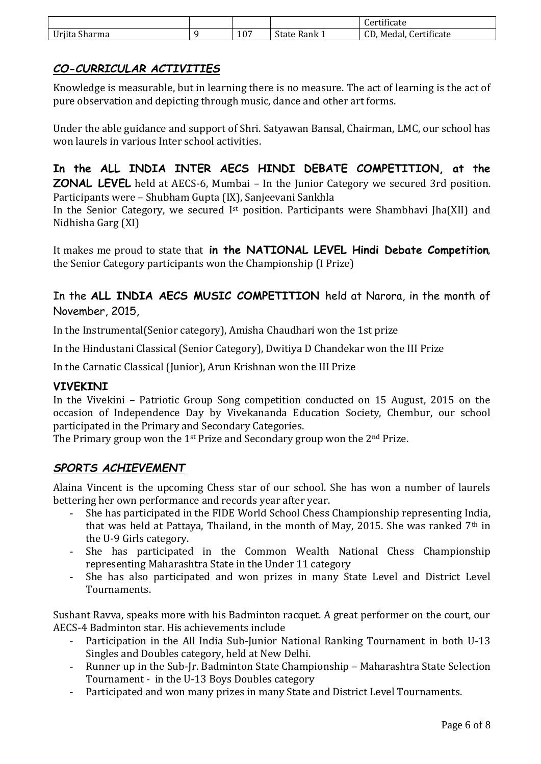|                            |     |                             | $\cdots$<br>Certificate                        |
|----------------------------|-----|-----------------------------|------------------------------------------------|
| $\sim$<br>Urjita<br>Sharma | 107 | $\sim$<br>state<br>- Rank 1 | $\cdot$ . $\sim$<br>Medal,<br>ertificate<br>uν |

# *CO-CURRICULAR ACTIVITIES*

Knowledge is measurable, but in learning there is no measure. The act of learning is the act of pure observation and depicting through music, dance and other art forms.

Under the able guidance and support of Shri. Satyawan Bansal, Chairman, LMC, our school has won laurels in various Inter school activities.

**In the ALL INDIA INTER AECS HINDI DEBATE COMPETITION, at the ZONAL LEVEL** held at AECS-6, Mumbai – In the Junior Category we secured 3rd position. Participants were – Shubham Gupta (IX), Sanjeevani Sankhla

In the Senior Category, we secured I<sup>st</sup> position. Participants were Shambhavi Jha(XII) and Nidhisha Garg (XI)

It makes me proud to state that **in the NATIONAL LEVEL Hindi Debate Competition**, the Senior Category participants won the Championship (I Prize)

In the **ALL INDIA AECS MUSIC COMPETITION** held at Narora, in the month of November, 2015,

In the Instrumental(Senior category), Amisha Chaudhari won the 1st prize

In the Hindustani Classical (Senior Category), Dwitiya D Chandekar won the III Prize

In the Carnatic Classical (Junior), Arun Krishnan won the III Prize

## **VIVEKINI**

In the Vivekini – Patriotic Group Song competition conducted on 15 August, 2015 on the occasion of Independence Day by Vivekananda Education Society, Chembur, our school participated in the Primary and Secondary Categories.

The Primary group won the 1<sup>st</sup> Prize and Secondary group won the 2<sup>nd</sup> Prize.

## *SPORTS ACHIEVEMENT*

Alaina Vincent is the upcoming Chess star of our school. She has won a number of laurels bettering her own performance and records year after year.

- She has participated in the FIDE World School Chess Championship representing India, that was held at Pattaya, Thailand, in the month of May, 2015. She was ranked  $7<sup>th</sup>$  in the U-9 Girls category.
- She has participated in the Common Wealth National Chess Championship representing Maharashtra State in the Under 11 category
- She has also participated and won prizes in many State Level and District Level Tournaments.

Sushant Ravva, speaks more with his Badminton racquet. A great performer on the court, our AECS-4 Badminton star. His achievements include

- Participation in the All India Sub-Junior National Ranking Tournament in both U-13 Singles and Doubles category, held at New Delhi.
- Runner up in the Sub-Jr. Badminton State Championship Maharashtra State Selection Tournament - in the U-13 Boys Doubles category
- Participated and won many prizes in many State and District Level Tournaments.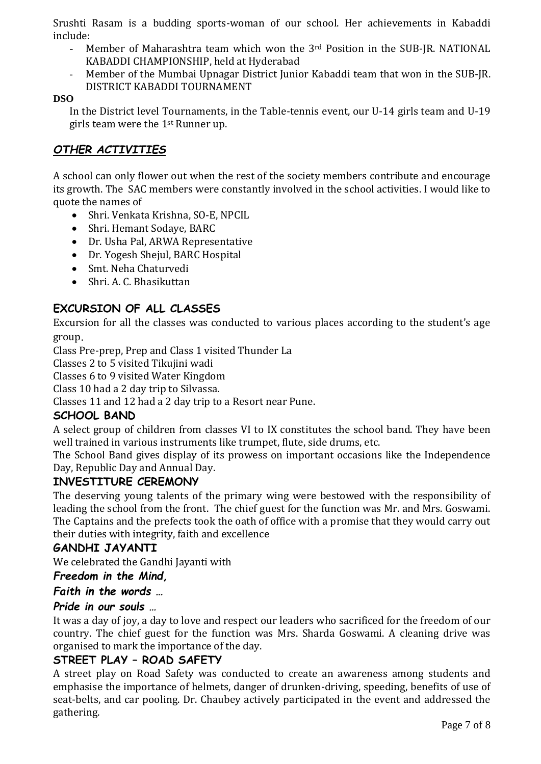Srushti Rasam is a budding sports-woman of our school. Her achievements in Kabaddi include:

- Member of Maharashtra team which won the 3<sup>rd</sup> Position in the SUB-JR. NATIONAL KABADDI CHAMPIONSHIP, held at Hyderabad
- Member of the Mumbai Upnagar District Junior Kabaddi team that won in the SUB-JR. DISTRICT KABADDI TOURNAMENT

### **DSO**

In the District level Tournaments, in the Table-tennis event, our U-14 girls team and U-19 girls team were the 1st Runner up.

# *OTHER ACTIVITIES*

A school can only flower out when the rest of the society members contribute and encourage its growth. The SAC members were constantly involved in the school activities. I would like to quote the names of

- Shri. Venkata Krishna, SO-E, NPCIL
- Shri. Hemant Sodaye, BARC
- Dr. Usha Pal, ARWA Representative
- Dr. Yogesh Shejul, BARC Hospital
- Smt. Neha Chaturvedi
- Shri. A. C. Bhasikuttan

# **EXCURSION OF ALL CLASSES**

Excursion for all the classes was conducted to various places according to the student's age group.

Class Pre-prep, Prep and Class 1 visited Thunder La

Classes 2 to 5 visited Tikujini wadi

Classes 6 to 9 visited Water Kingdom

Class 10 had a 2 day trip to Silvassa.

Classes 11 and 12 had a 2 day trip to a Resort near Pune.

### **SCHOOL BAND**

A select group of children from classes VI to IX constitutes the school band. They have been well trained in various instruments like trumpet, flute, side drums, etc.

The School Band gives display of its prowess on important occasions like the Independence Day, Republic Day and Annual Day.

## **INVESTITURE CEREMONY**

The deserving young talents of the primary wing were bestowed with the responsibility of leading the school from the front. The chief guest for the function was Mr. and Mrs. Goswami. The Captains and the prefects took the oath of office with a promise that they would carry out their duties with integrity, faith and excellence

### **GANDHI JAYANTI**

We celebrated the Gandhi Jayanti with

### *Freedom in the Mind,*

### *Faith in the words …*

### *Pride in our souls …*

It was a day of joy, a day to love and respect our leaders who sacrificed for the freedom of our country. The chief guest for the function was Mrs. Sharda Goswami. A cleaning drive was organised to mark the importance of the day.

## **STREET PLAY – ROAD SAFETY**

A street play on Road Safety was conducted to create an awareness among students and emphasise the importance of helmets, danger of drunken-driving, speeding, benefits of use of seat-belts, and car pooling. Dr. Chaubey actively participated in the event and addressed the gathering.